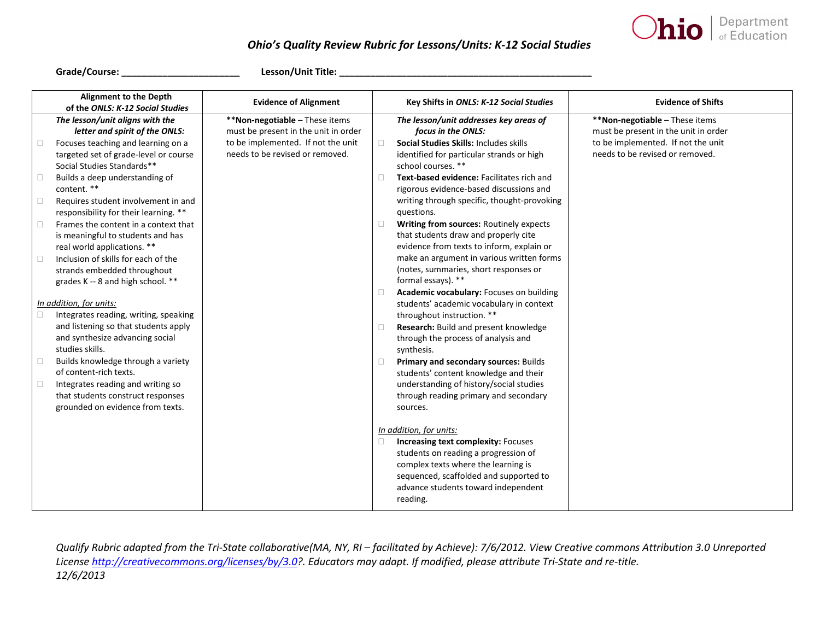

## *Ohio's Quality Review Rubric for Lessons/Units: K-12 Social Studies*

**Grade/Course: \_\_\_\_\_\_\_\_\_\_\_\_\_\_\_\_\_\_\_\_\_\_\_ Lesson/Unit Title: \_\_\_\_\_\_\_\_\_\_\_\_\_\_\_\_\_\_\_\_\_\_\_\_\_\_\_\_\_\_\_\_\_\_\_\_\_\_\_\_\_\_\_\_\_\_\_\_\_** 

| <b>Alignment to the Depth</b><br>of the ONLS: K-12 Social Studies | <b>Evidence of Alignment</b>         |        | Key Shifts in ONLS: K-12 Social Studies     | <b>Evidence of Shifts</b>            |
|-------------------------------------------------------------------|--------------------------------------|--------|---------------------------------------------|--------------------------------------|
| The lesson/unit aligns with the                                   | **Non-negotiable - These items       |        | The lesson/unit addresses key areas of      | **Non-negotiable - These items       |
| letter and spirit of the ONLS:                                    | must be present in the unit in order |        | focus in the ONLS:                          | must be present in the unit in order |
| Focuses teaching and learning on a                                | to be implemented. If not the unit   | $\Box$ | Social Studies Skills: Includes skills      | to be implemented. If not the unit   |
| targeted set of grade-level or course                             | needs to be revised or removed.      |        | identified for particular strands or high   | needs to be revised or removed.      |
| Social Studies Standards**                                        |                                      |        | school courses. **                          |                                      |
| Builds a deep understanding of<br>$\Box$                          |                                      | $\Box$ | Text-based evidence: Facilitates rich and   |                                      |
| content. **                                                       |                                      |        | rigorous evidence-based discussions and     |                                      |
| Requires student involvement in and<br>$\Box$                     |                                      |        | writing through specific, thought-provoking |                                      |
| responsibility for their learning. **                             |                                      |        | questions.                                  |                                      |
| Frames the content in a context that<br>$\Box$                    |                                      | $\Box$ | Writing from sources: Routinely expects     |                                      |
| is meaningful to students and has                                 |                                      |        | that students draw and properly cite        |                                      |
| real world applications. **                                       |                                      |        | evidence from texts to inform, explain or   |                                      |
| Inclusion of skills for each of the<br>$\Box$                     |                                      |        | make an argument in various written forms   |                                      |
| strands embedded throughout                                       |                                      |        | (notes, summaries, short responses or       |                                      |
| grades K -- 8 and high school. **                                 |                                      |        | formal essays). **                          |                                      |
|                                                                   |                                      | $\Box$ | Academic vocabulary: Focuses on building    |                                      |
| In addition, for units:                                           |                                      |        | students' academic vocabulary in context    |                                      |
| Integrates reading, writing, speaking                             |                                      |        | throughout instruction. **                  |                                      |
| and listening so that students apply                              |                                      | $\Box$ | Research: Build and present knowledge       |                                      |
| and synthesize advancing social                                   |                                      |        | through the process of analysis and         |                                      |
| studies skills.                                                   |                                      |        | synthesis.                                  |                                      |
| Builds knowledge through a variety                                |                                      | $\Box$ | Primary and secondary sources: Builds       |                                      |
| of content-rich texts.                                            |                                      |        | students' content knowledge and their       |                                      |
| Integrates reading and writing so<br>$\Box$                       |                                      |        | understanding of history/social studies     |                                      |
| that students construct responses                                 |                                      |        | through reading primary and secondary       |                                      |
| grounded on evidence from texts.                                  |                                      |        | sources.                                    |                                      |
|                                                                   |                                      |        |                                             |                                      |
|                                                                   |                                      |        | In addition, for units:                     |                                      |
|                                                                   |                                      | $\Box$ | <b>Increasing text complexity: Focuses</b>  |                                      |
|                                                                   |                                      |        | students on reading a progression of        |                                      |
|                                                                   |                                      |        | complex texts where the learning is         |                                      |
|                                                                   |                                      |        | sequenced, scaffolded and supported to      |                                      |
|                                                                   |                                      |        | advance students toward independent         |                                      |
|                                                                   |                                      |        | reading.                                    |                                      |

Qualify Rubric adapted from the Tri-State collaborative(MA, NY, RI - facilitated by Achieve): 7/6/2012. View Creative commons Attribution 3.0 Unreported *Licens[e http://creativecommons.org/licenses/by/3.0?](http://creativecommons.org/licenses/by/3.0). Educators may adapt. If modified, please attribute Tri-State and re-title. 12/6/2013*